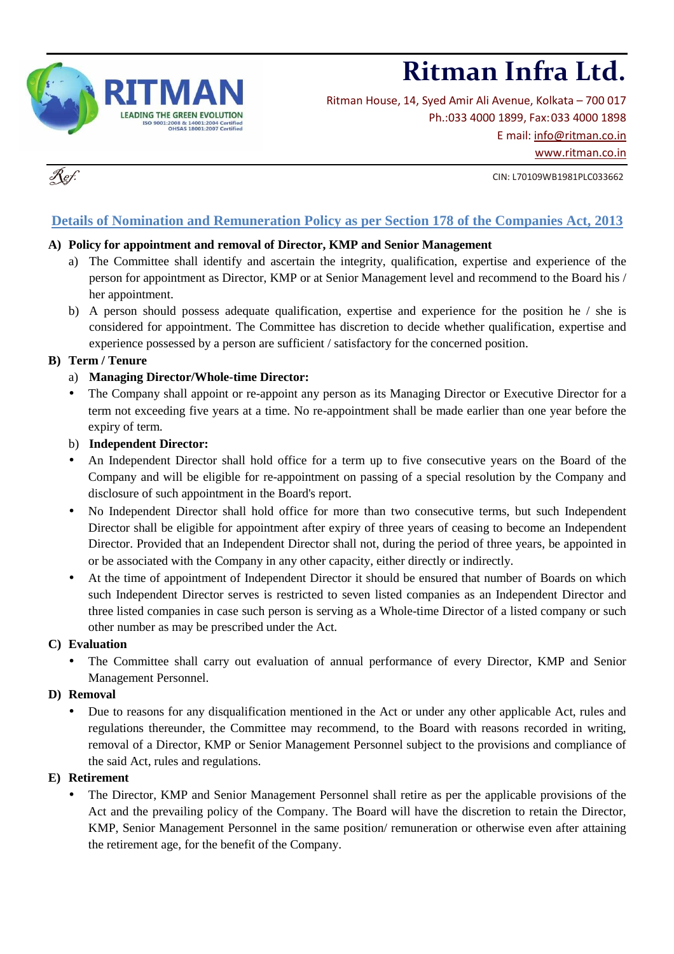

# **Ritman Infra Ltd.**

Ritman House, 14, Syed Amir Ali Avenue, Kolkata – 700 017 Ph.:033 4000 1899, Fax: 033 4000 1898 E mail: info@ritman.co.in www.ritman.co.in

CIN: L70109WB1981PLC033662

## **Details of Nomination and Remuneration Policy as per Section 178 of the Companies Act, 2013**

### **A) Policy for appointment and removal of Director, KMP and Senior Management**

- a) The Committee shall identify and ascertain the integrity, qualification, expertise and experience of the person for appointment as Director, KMP or at Senior Management level and recommend to the Board his / her appointment.
- b) A person should possess adequate qualification, expertise and experience for the position he / she is considered for appointment. The Committee has discretion to decide whether qualification, expertise and experience possessed by a person are sufficient / satisfactory for the concerned position.

### **B) Term / Tenure**

### a) **Managing Director/Whole-time Director:**

The Company shall appoint or re-appoint any person as its Managing Director or Executive Director for a term not exceeding five years at a time. No re-appointment shall be made earlier than one year before the expiry of term.

#### b) **Independent Director:**

- An Independent Director shall hold office for a term up to five consecutive years on the Board of the Company and will be eligible for re-appointment on passing of a special resolution by the Company and disclosure of such appointment in the Board's report.
- No Independent Director shall hold office for more than two consecutive terms, but such Independent Director shall be eligible for appointment after expiry of three years of ceasing to become an Independent Director. Provided that an Independent Director shall not, during the period of three years, be appointed in or be associated with the Company in any other capacity, either directly or indirectly.
- At the time of appointment of Independent Director it should be ensured that number of Boards on which such Independent Director serves is restricted to seven listed companies as an Independent Director and three listed companies in case such person is serving as a Whole-time Director of a listed company or such other number as may be prescribed under the Act.

#### **C) Evaluation**

• The Committee shall carry out evaluation of annual performance of every Director, KMP and Senior Management Personnel.

#### **D) Removal**

• Due to reasons for any disqualification mentioned in the Act or under any other applicable Act, rules and regulations thereunder, the Committee may recommend, to the Board with reasons recorded in writing, removal of a Director, KMP or Senior Management Personnel subject to the provisions and compliance of the said Act, rules and regulations.

#### **E) Retirement**

• The Director, KMP and Senior Management Personnel shall retire as per the applicable provisions of the Act and the prevailing policy of the Company. The Board will have the discretion to retain the Director, KMP, Senior Management Personnel in the same position/ remuneration or otherwise even after attaining the retirement age, for the benefit of the Company.